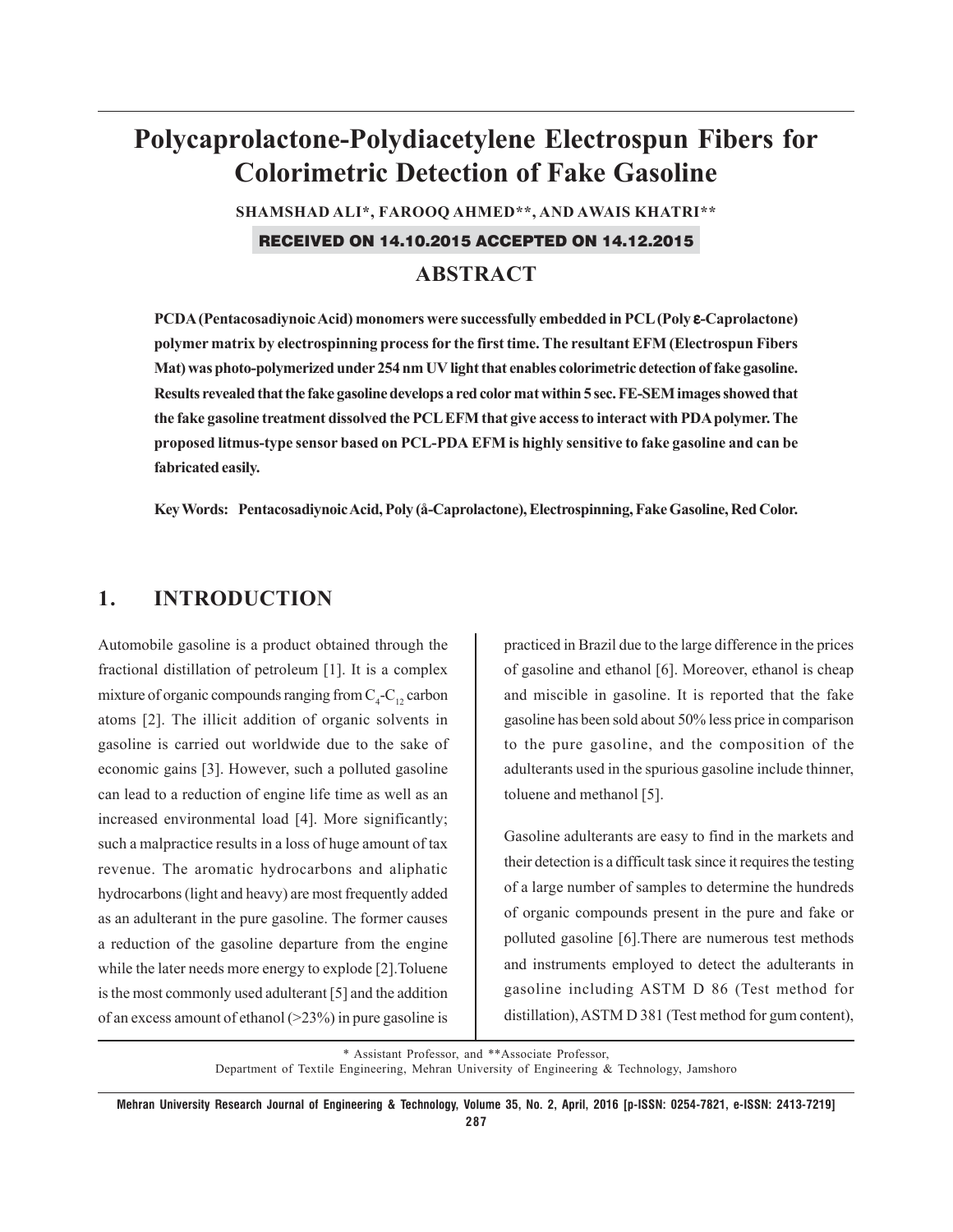# **Polycaprolactone-Polydiacetylene Electrospun Fibers for Colorimetric Detection of Fake Gasoline**

**SHAMSHAD ALI\*, FAROOQ AHMED\*\*, AND AWAIS KHATRI\*\***

RECEIVED ON 14.10.2015 ACCEPTED ON 14.12.2015

## **ABSTRACT**

**PCDA (Pentacosadiynoic Acid) monomers were successfully embedded in PCL (Poly** ε**-Caprolactone) polymer matrix by electrospinning process for the first time. The resultant EFM (Electrospun Fibers Mat) was photo-polymerized under 254 nm UV light that enables colorimetric detection of fake gasoline. Results revealed that the fake gasoline develops a red color mat within 5 sec. FE-SEM images showed that the fake gasoline treatment dissolved the PCL EFM that give access to interact with PDA polymer. The proposed litmus-type sensor based on PCL-PDA EFM is highly sensitive to fake gasoline and can be fabricated easily.**

**Key Words: Pentacosadiynoic Acid, Poly (å-Caprolactone), Electrospinning, Fake Gasoline, Red Color.**

## **1. INTRODUCTION**

Automobile gasoline is a product obtained through the fractional distillation of petroleum [1]. It is a complex mixture of organic compounds ranging from  $C_4$ - $C_{12}$  carbon atoms [2]. The illicit addition of organic solvents in gasoline is carried out worldwide due to the sake of economic gains [3]. However, such a polluted gasoline can lead to a reduction of engine life time as well as an increased environmental load [4]. More significantly; such a malpractice results in a loss of huge amount of tax revenue. The aromatic hydrocarbons and aliphatic hydrocarbons (light and heavy) are most frequently added as an adulterant in the pure gasoline. The former causes a reduction of the gasoline departure from the engine while the later needs more energy to explode [2].Toluene is the most commonly used adulterant [5] and the addition of an excess amount of ethanol  $(>23%)$  in pure gasoline is

practiced in Brazil due to the large difference in the prices of gasoline and ethanol [6]. Moreover, ethanol is cheap and miscible in gasoline. It is reported that the fake gasoline has been sold about 50% less price in comparison to the pure gasoline, and the composition of the adulterants used in the spurious gasoline include thinner, toluene and methanol [5].

Gasoline adulterants are easy to find in the markets and their detection is a difficult task since it requires the testing of a large number of samples to determine the hundreds of organic compounds present in the pure and fake or polluted gasoline [6].There are numerous test methods and instruments employed to detect the adulterants in gasoline including ASTM D 86 (Test method for distillation), ASTM D 381 (Test method for gum content),

\* Assistant Professor, and \*\*Associate Professor, Department of Textile Engineering, Mehran University of Engineering & Technology, Jamshoro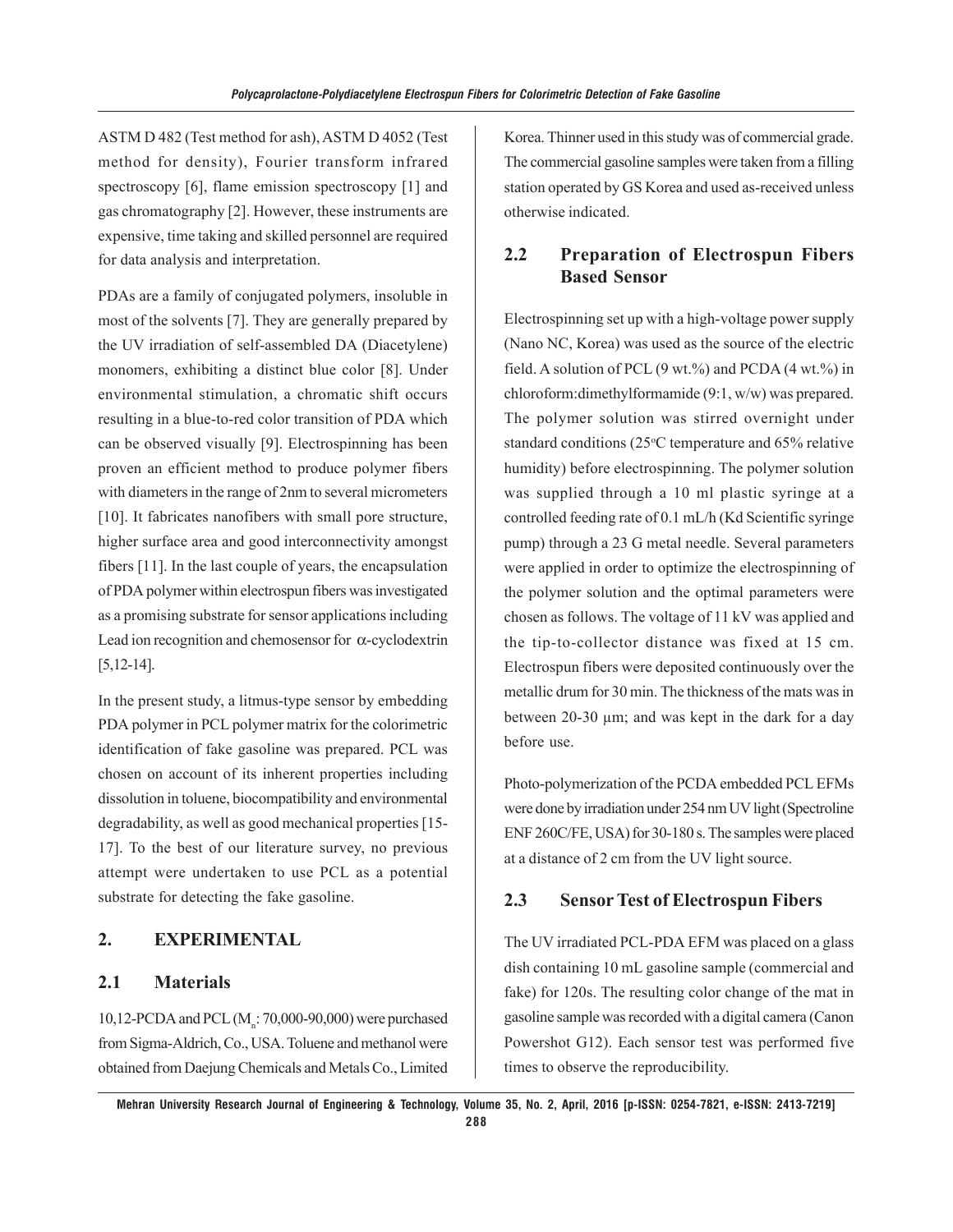ASTM D 482 (Test method for ash), ASTM D 4052 (Test method for density), Fourier transform infrared spectroscopy [6], flame emission spectroscopy [1] and gas chromatography [2]. However, these instruments are expensive, time taking and skilled personnel are required for data analysis and interpretation.

PDAs are a family of conjugated polymers, insoluble in most of the solvents [7]. They are generally prepared by the UV irradiation of self-assembled DA (Diacetylene) monomers, exhibiting a distinct blue color [8]. Under environmental stimulation, a chromatic shift occurs resulting in a blue-to-red color transition of PDA which can be observed visually [9]. Electrospinning has been proven an efficient method to produce polymer fibers with diameters in the range of 2nm to several micrometers [10]. It fabricates nanofibers with small pore structure, higher surface area and good interconnectivity amongst fibers [11]. In the last couple of years, the encapsulation of PDA polymer within electrospun fibers was investigated as a promising substrate for sensor applications including Lead ion recognition and chemosensor for α-cyclodextrin [5,12-14].

In the present study, a litmus-type sensor by embedding PDA polymer in PCL polymer matrix for the colorimetric identification of fake gasoline was prepared. PCL was chosen on account of its inherent properties including dissolution in toluene, biocompatibility and environmental degradability, as well as good mechanical properties [15- 17]. To the best of our literature survey, no previous attempt were undertaken to use PCL as a potential substrate for detecting the fake gasoline.

#### **2. EXPERIMENTAL**

#### **2.1 Materials**

10,12-PCDA and PCL  $(M<sub>n</sub>: 70,000-90,000)$  were purchased from Sigma-Aldrich, Co., USA. Toluene and methanol were obtained from Daejung Chemicals and Metals Co., Limited Korea. Thinner used in this study was of commercial grade. The commercial gasoline samples were taken from a filling station operated by GS Korea and used as-received unless otherwise indicated.

## **2.2 Preparation of Electrospun Fibers Based Sensor**

Electrospinning set up with a high-voltage power supply (Nano NC, Korea) was used as the source of the electric field. A solution of PCL  $(9 \text{ wt.})\%$  and PCDA  $(4 \text{ wt.})\%$  in chloroform:dimethylformamide (9:1, w/w) was prepared. The polymer solution was stirred overnight under standard conditions (25°C temperature and 65% relative humidity) before electrospinning. The polymer solution was supplied through a 10 ml plastic syringe at a controlled feeding rate of 0.1 mL/h (Kd Scientific syringe pump) through a 23 G metal needle. Several parameters were applied in order to optimize the electrospinning of the polymer solution and the optimal parameters were chosen as follows. The voltage of 11 kV was applied and the tip-to-collector distance was fixed at 15 cm. Electrospun fibers were deposited continuously over the metallic drum for 30 min. The thickness of the mats was in between 20-30 μm; and was kept in the dark for a day before use.

Photo-polymerization of the PCDA embedded PCL EFMs were done by irradiation under 254 nm UV light (Spectroline ENF 260C/FE, USA) for 30-180 s. The samples were placed at a distance of 2 cm from the UV light source.

#### **2.3 Sensor Test of Electrospun Fibers**

The UV irradiated PCL-PDA EFM was placed on a glass dish containing 10 mL gasoline sample (commercial and fake) for 120s. The resulting color change of the mat in gasoline sample was recorded with a digital camera (Canon Powershot G12). Each sensor test was performed five times to observe the reproducibility.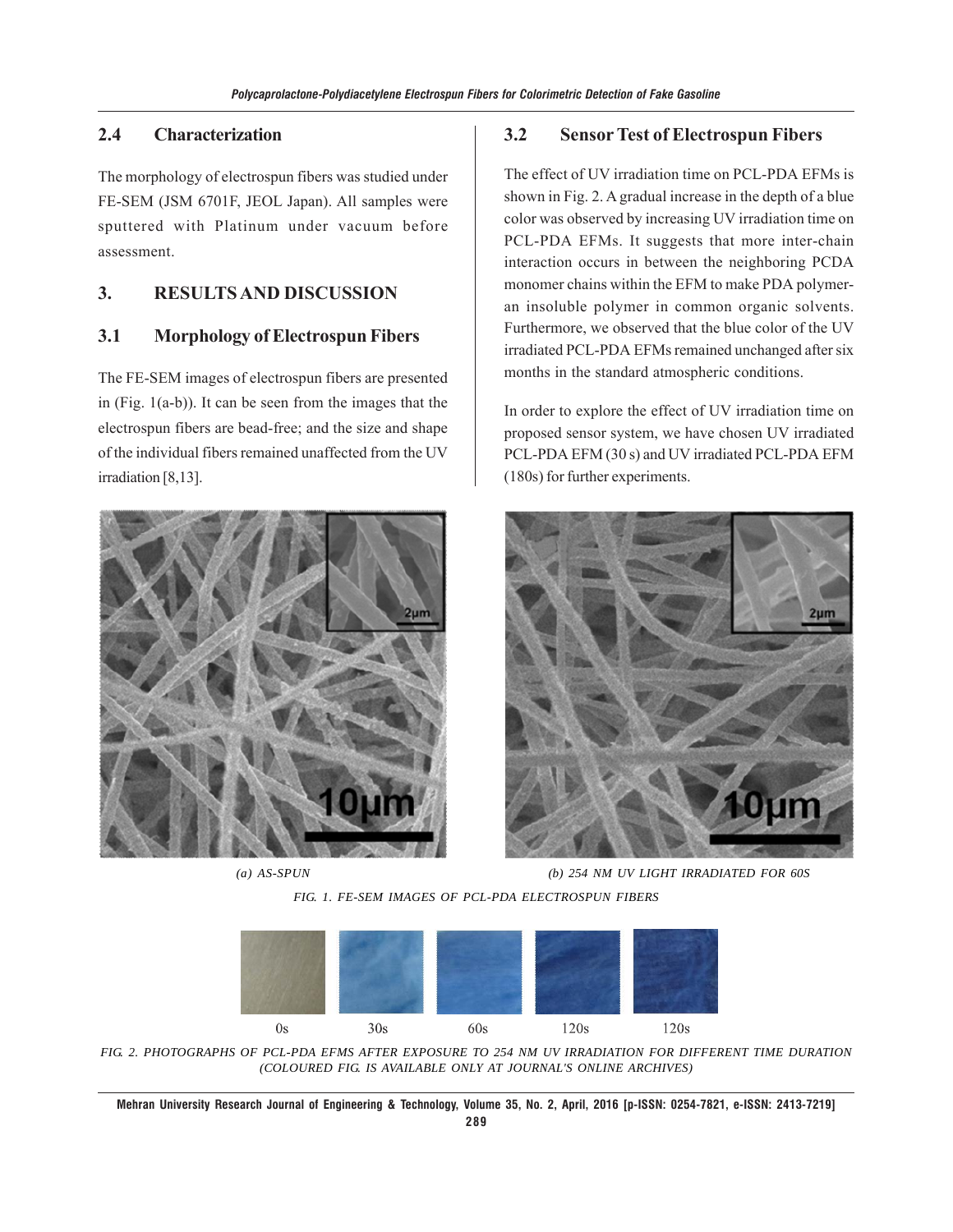#### **2.4 Characterization**

The morphology of electrospun fibers was studied under FE-SEM (JSM 6701F, JEOL Japan). All samples were sputtered with Platinum under vacuum before assessment.

## **3. RESULTS AND DISCUSSION**

### **3.1 Morphology of Electrospun Fibers**

The FE-SEM images of electrospun fibers are presented in (Fig. 1(a-b)). It can be seen from the images that the electrospun fibers are bead-free; and the size and shape of the individual fibers remained unaffected from the UV irradiation [8,13].



#### **3.2 Sensor Test of Electrospun Fibers**

The effect of UV irradiation time on PCL-PDA EFMs is shown in Fig. 2. A gradual increase in the depth of a blue color was observed by increasing UV irradiation time on PCL-PDA EFMs. It suggests that more inter-chain interaction occurs in between the neighboring PCDA monomer chains within the EFM to make PDA polymeran insoluble polymer in common organic solvents. Furthermore, we observed that the blue color of the UV irradiated PCL-PDA EFMs remained unchanged after six months in the standard atmospheric conditions.

In order to explore the effect of UV irradiation time on proposed sensor system, we have chosen UV irradiated PCL-PDA EFM (30 s) and UV irradiated PCL-PDA EFM (180s) for further experiments.



*(a) AS-SPUN (b) 254 NM UV LIGHT IRRADIATED FOR 60S*

*FIG. 1. FE-SEM IMAGES OF PCL-PDA ELECTROSPUN FIBERS*



*FIG. 2. PHOTOGRAPHS OF PCL-PDA EFMS AFTER EXPOSURE TO 254 NM UV IRRADIATION FOR DIFFERENT TIME DURATION (COLOURED FIG. IS AVAILABLE ONLY AT JOURNAL'S ONLINE ARCHIVES)*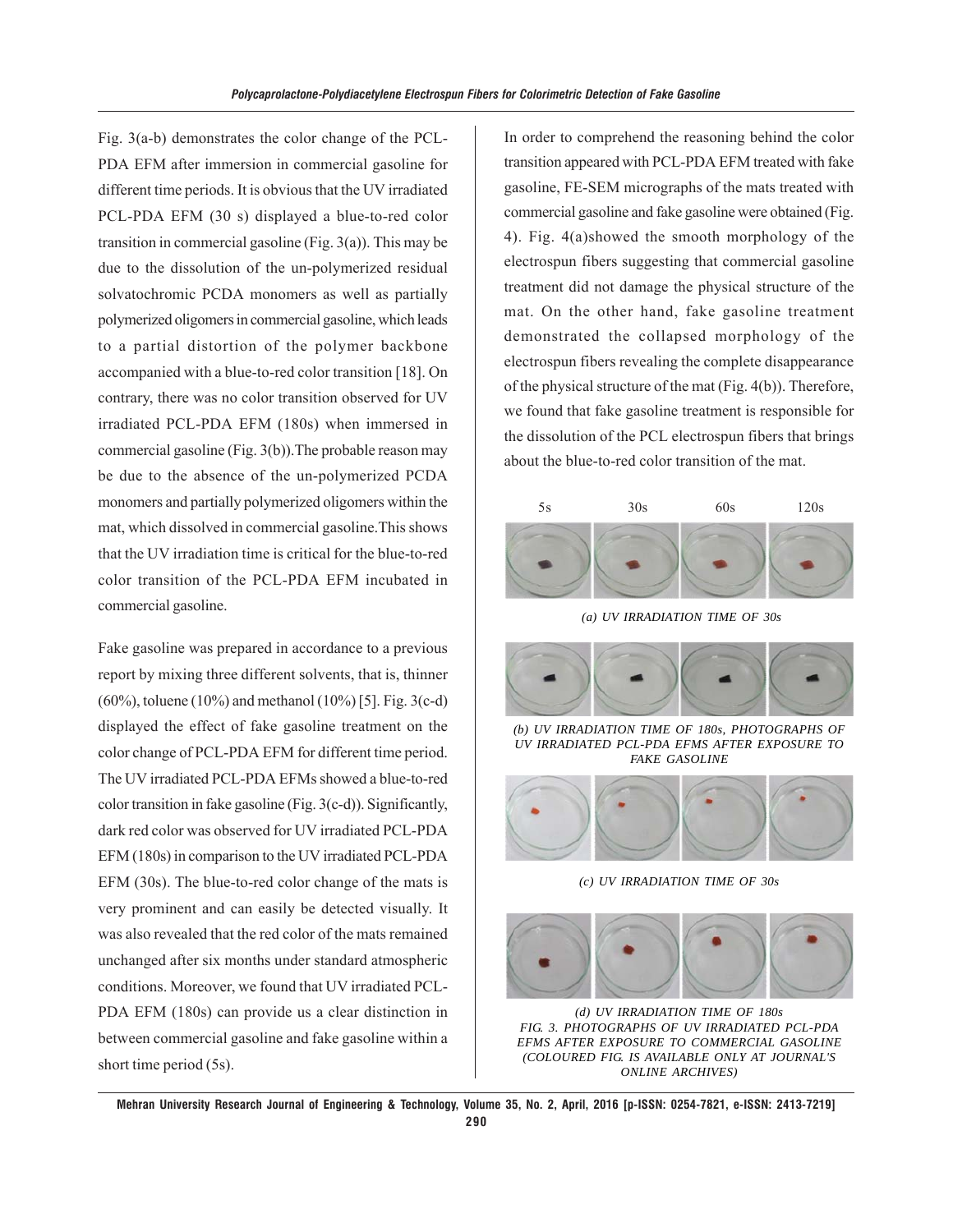Fig. 3(a-b) demonstrates the color change of the PCL-PDA EFM after immersion in commercial gasoline for different time periods. It is obvious that the UV irradiated PCL-PDA EFM (30 s) displayed a blue-to-red color transition in commercial gasoline (Fig. 3(a)). This may be due to the dissolution of the un-polymerized residual solvatochromic PCDA monomers as well as partially polymerized oligomers in commercial gasoline, which leads to a partial distortion of the polymer backbone accompanied with a blue-to-red color transition [18]. On contrary, there was no color transition observed for UV irradiated PCL-PDA EFM (180s) when immersed in commercial gasoline (Fig. 3(b)).The probable reason may be due to the absence of the un-polymerized PCDA monomers and partially polymerized oligomers within the mat, which dissolved in commercial gasoline.This shows that the UV irradiation time is critical for the blue-to-red color transition of the PCL-PDA EFM incubated in commercial gasoline.

Fake gasoline was prepared in accordance to a previous report by mixing three different solvents, that is, thinner (60%), toluene (10%) and methanol (10%) [5]. Fig. 3(c-d) displayed the effect of fake gasoline treatment on the color change of PCL-PDA EFM for different time period. The UV irradiated PCL-PDA EFMs showed a blue-to-red color transition in fake gasoline (Fig. 3(c-d)). Significantly, dark red color was observed for UV irradiated PCL-PDA EFM (180s) in comparison to the UV irradiated PCL-PDA EFM (30s). The blue-to-red color change of the mats is very prominent and can easily be detected visually. It was also revealed that the red color of the mats remained unchanged after six months under standard atmospheric conditions. Moreover, we found that UV irradiated PCL-PDA EFM (180s) can provide us a clear distinction in between commercial gasoline and fake gasoline within a short time period (5s).

In order to comprehend the reasoning behind the color transition appeared with PCL-PDA EFM treated with fake gasoline, FE-SEM micrographs of the mats treated with commercial gasoline and fake gasoline were obtained (Fig. 4). Fig. 4(a)showed the smooth morphology of the electrospun fibers suggesting that commercial gasoline treatment did not damage the physical structure of the mat. On the other hand, fake gasoline treatment demonstrated the collapsed morphology of the electrospun fibers revealing the complete disappearance of the physical structure of the mat (Fig. 4(b)). Therefore, we found that fake gasoline treatment is responsible for the dissolution of the PCL electrospun fibers that brings about the blue-to-red color transition of the mat.





*FIG. 3. PHOTOGRAPHS OF UV IRRADIATED PCL-PDA EFMS AFTER EXPOSURE TO COMMERCIAL GASOLINE (COLOURED FIG. IS AVAILABLE ONLY AT JOURNAL'S ONLINE ARCHIVES) (d) UV IRRADIATION TIME OF 180s*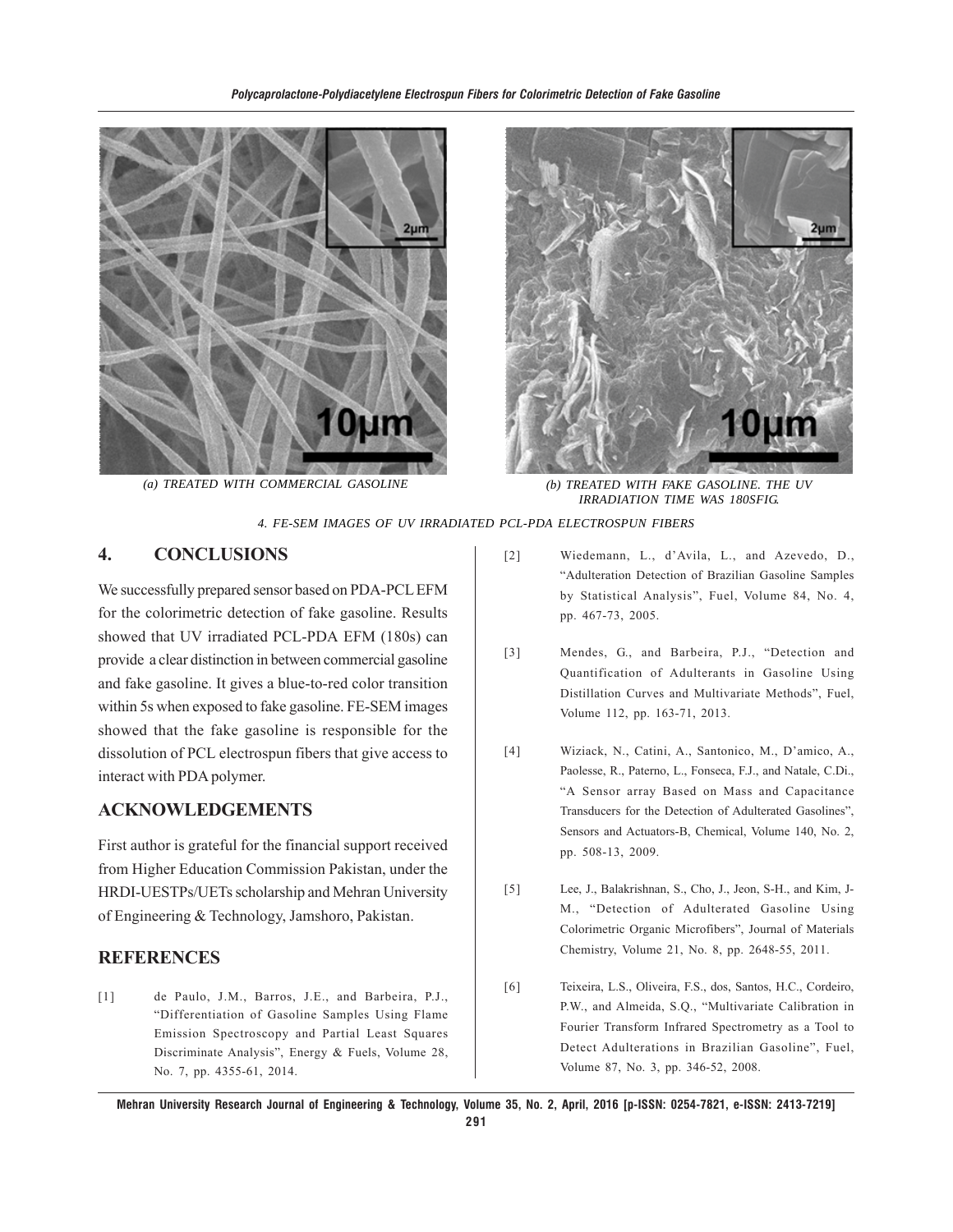



 *(a) TREATED WITH COMMERCIAL GASOLINE (b) TREATED WITH FAKE GASOLINE. THE UV IRRADIATION TIME WAS 180SFIG.*

*4. FE-SEM IMAGES OF UV IRRADIATED PCL-PDA ELECTROSPUN FIBERS*

## **4. CONCLUSIONS**

We successfully prepared sensor based on PDA-PCL EFM for the colorimetric detection of fake gasoline. Results showed that UV irradiated PCL-PDA EFM (180s) can provide a clear distinction in between commercial gasoline and fake gasoline. It gives a blue-to-red color transition within 5s when exposed to fake gasoline. FE-SEM images showed that the fake gasoline is responsible for the dissolution of PCL electrospun fibers that give access to interact with PDA polymer.

## **ACKNOWLEDGEMENTS**

First author is grateful for the financial support received from Higher Education Commission Pakistan, under the HRDI-UESTPs/UETs scholarship and Mehran University of Engineering & Technology, Jamshoro, Pakistan.

#### **REFERENCES**

[1] de Paulo, J.M., Barros, J.E., and Barbeira, P.J., "Differentiation of Gasoline Samples Using Flame Emission Spectroscopy and Partial Least Squares Discriminate Analysis", Energy & Fuels, Volume 28, No. 7, pp. 4355-61, 2014.

- [2] Wiedemann, L., d'Avila, L., and Azevedo, D., "Adulteration Detection of Brazilian Gasoline Samples by Statistical Analysis", Fuel, Volume 84, No. 4, pp. 467-73, 2005.
- [3] Mendes, G., and Barbeira, P.J., "Detection and Quantification of Adulterants in Gasoline Using Distillation Curves and Multivariate Methods", Fuel, Volume 112, pp. 163-71, 2013.
- [4] Wiziack, N., Catini, A., Santonico, M., D'amico, A., Paolesse, R., Paterno, L., Fonseca, F.J., and Natale, C.Di., "A Sensor array Based on Mass and Capacitance Transducers for the Detection of Adulterated Gasolines", Sensors and Actuators-B, Chemical, Volume 140, No. 2, pp. 508-13, 2009.
- [5] Lee, J., Balakrishnan, S., Cho, J., Jeon, S-H., and Kim, J-M., "Detection of Adulterated Gasoline Using Colorimetric Organic Microfibers", Journal of Materials Chemistry, Volume 21, No. 8, pp. 2648-55, 2011.
- [6] Teixeira, L.S., Oliveira, F.S., dos, Santos, H.C., Cordeiro, P.W., and Almeida, S.Q., "Multivariate Calibration in Fourier Transform Infrared Spectrometry as a Tool to Detect Adulterations in Brazilian Gasoline", Fuel, Volume 87, No. 3, pp. 346-52, 2008.